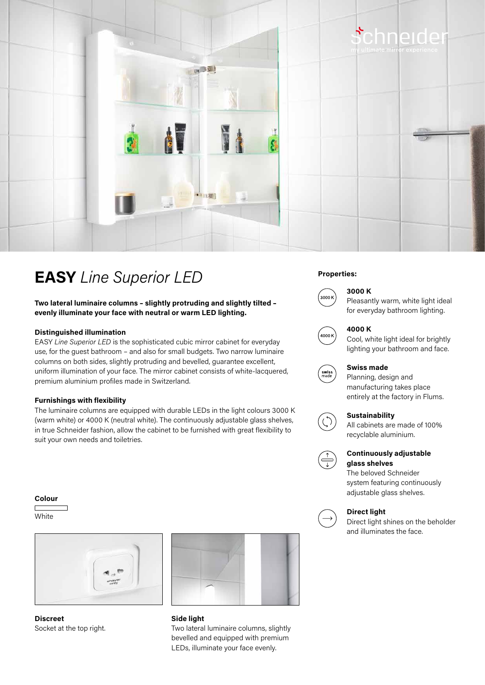

## **EASY** *Line Superior LED* Properties:

**Two lateral luminaire columns – slightly protruding and slightly tilted – evenly illuminate your face with neutral or warm LED lighting.**

#### **Distinguished illumination**

EASY *Line Superior LED* is the sophisticated cubic mirror cabinet for everyday use, for the guest bathroom – and also for small budgets. Two narrow luminaire columns on both sides, slightly protruding and bevelled, guarantee excellent, uniform illumination of your face. The mirror cabinet consists of white-lacquered, premium aluminium profiles made in Switzerland.

#### **Furnishings with flexibility**

The luminaire columns are equipped with durable LEDs in the light colours 3000 K (warm white) or 4000 K (neutral white). The continuously adjustable glass shelves, in true Schneider fashion, allow the cabinet to be furnished with great flexibility to suit your own needs and toiletries.

#### **Colour**

**White** 

**Discreet** Socket at the top right.



**Side light** Two lateral luminaire columns, slightly bevelled and equipped with premium LEDs, illuminate your face evenly.



## **3000 K**



Pleasantly warm, white light ideal for everyday bathroom lighting.



swiss<br>made

### **4000 K**

Cool, white light ideal for brightly lighting your bathroom and face.

#### **Swiss made**

Planning, design and manufacturing takes place entirely at the factory in Flums.



#### **Sustainability**

All cabinets are made of 100% recyclable aluminium.



#### **Continuously adjustable glass shelves**

The beloved Schneider system featuring continuously adjustable glass shelves.

#### **Direct light**

Direct light shines on the beholder and illuminates the face.